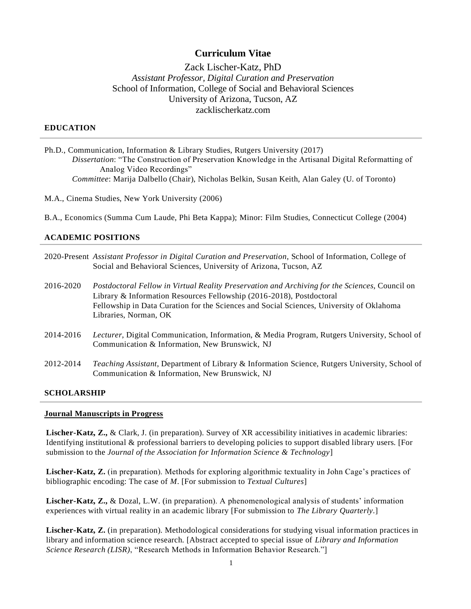# **Curriculum Vitae**

# Zack Lischer-Katz, PhD *Assistant Professor, Digital Curation and Preservation* School of Information, College of Social and Behavioral Sciences University of Arizona, Tucson, AZ zacklischerkatz.com

### **EDUCATION**

- Ph.D., Communication, Information & Library Studies, Rutgers University (2017) *Dissertation*: "The Construction of Preservation Knowledge in the Artisanal Digital Reformatting of Analog Video Recordings" *Committee*: Marija Dalbello (Chair), Nicholas Belkin, Susan Keith, Alan Galey (U. of Toronto)
- M.A., Cinema Studies, New York University (2006)
- B.A., Economics (Summa Cum Laude, Phi Beta Kappa); Minor: Film Studies, Connecticut College (2004)

### **ACADEMIC POSITIONS**

- 2020-Present *Assistant Professor in Digital Curation and Preservation*, School of Information, College of Social and Behavioral Sciences, University of Arizona, Tucson, AZ
- 2016-2020 *Postdoctoral Fellow in Virtual Reality Preservation and Archiving for the Sciences*, Council on Library & Information Resources Fellowship (2016-2018), Postdoctoral Fellowship in Data Curation for the Sciences and Social Sciences, University of Oklahoma Libraries, Norman, OK
- 2014-2016 *Lecturer*, Digital Communication, Information, & Media Program, Rutgers University, School of Communication & Information, New Brunswick, NJ
- 2012-2014 *Teaching Assistant*, Department of Library & Information Science, Rutgers University, School of Communication & Information, New Brunswick, NJ

# **SCHOLARSHIP**

#### **Journal Manuscripts in Progress**

**Lischer-Katz, Z.,** & Clark, J. (in preparation). Survey of XR accessibility initiatives in academic libraries: Identifying institutional & professional barriers to developing policies to support disabled library users. [For submission to the *Journal of the Association for Information Science & Technology*]

**Lischer-Katz, Z.** (in preparation). Methods for exploring algorithmic textuality in John Cage's practices of bibliographic encoding: The case of *M*. [For submission to *Textual Cultures*]

**Lischer-Katz, Z.,** & Dozal, L.W. (in preparation). A phenomenological analysis of students' information experiences with virtual reality in an academic library [For submission to *The Library Quarterly*.]

**Lischer-Katz, Z.** (in preparation). Methodological considerations for studying visual information practices in library and information science research. [Abstract accepted to special issue of *Library and Information Science Research (LISR)*, "Research Methods in Information Behavior Research."]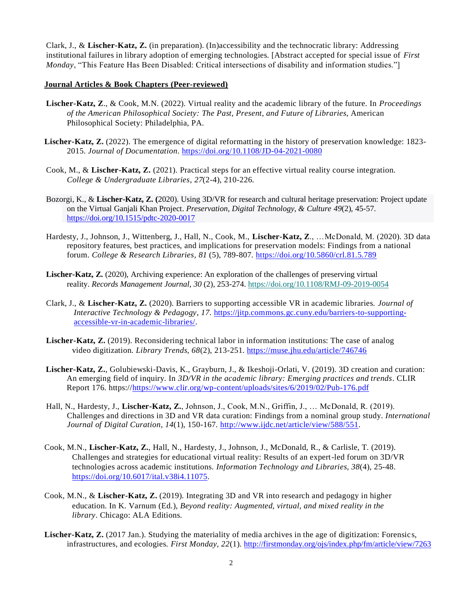Clark, J., & **Lischer-Katz, Z.** (in preparation). (In)accessibility and the technocratic library: Addressing institutional failures in library adoption of emerging technologies. [Abstract accepted for special issue of *First Monday*, "This Feature Has Been Disabled: Critical intersections of disability and information studies."

#### **Journal Articles & Book Chapters (Peer-reviewed)**

- **Lischer-Katz, Z**., & Cook, M.N. (2022). Virtual reality and the academic library of the future. In *Proceedings of the American Philosophical Society: The Past, Present, and Future of Libraries*, American Philosophical Society: Philadelphia, PA.
- **Lischer-Katz, Z.** (2022). The emergence of digital reformatting in the history of preservation knowledge: 1823- 2015. *Journal of Documentation*.<https://doi.org/10.1108/JD-04-2021-0080>
- Cook, M., & **Lischer-Katz, Z.** (2021). Practical steps for an effective virtual reality course integration. *College & Undergraduate Libraries*, *27*(2-4), 210-226.
- Bozorgi, K., & **Lischer-Katz, Z. (**2020). Using 3D/VR for research and cultural heritage preservation: Project update on the Virtual Ganjali Khan Project. *Preservation, Digital Technology, & Culture 49*(2)*,* 45-57. <https://doi.org/10.1515/pdtc-2020-0017>
- Hardesty, J., Johnson, J., Wittenberg, J., Hall, N., Cook, M., **Lischer-Katz, Z**., …McDonald, M. (2020). 3D data repository features, best practices, and implications for preservation models: Findings from a national forum. *College & Research Libraries, 81* (5), 789-807. <https://doi.org/10.5860/crl.81.5.789>
- **Lischer-Katz, Z.** (2020), Archiving experience: An exploration of the challenges of preserving virtual reality. *[Records Management Journal,](https://www.emerald.com/insight/publication/issn/0956-5698) 30* (2), 253-274. <https://doi.org/10.1108/RMJ-09-2019-0054>
- Clark, J., & **Lischer-Katz, Z.** (2020). Barriers to supporting accessible VR in academic libraries. *Journal of Interactive Technology & Pedagogy*, *17*. [https://jitp.commons.gc.cuny.edu/barriers-to-supporting](https://jitp.commons.gc.cuny.edu/barriers-to-supporting-accessible-vr-in-academic-libraries/)[accessible-vr-in-academic-libraries/.](https://jitp.commons.gc.cuny.edu/barriers-to-supporting-accessible-vr-in-academic-libraries/)
- **Lischer-Katz, Z.** (2019). Reconsidering technical labor in information institutions: The case of analog video digitization. *Library Trends, 68*(2), 213-251.<https://muse.jhu.edu/article/746746>
- **Lischer-Katz, Z.**, Golubiewski-Davis, K., Grayburn, J., & Ikeshoji-Orlati, V. (2019). 3D creation and curation: An emerging field of inquiry. In *3D/VR in the academic library: Emerging practices and trends*. CLIR Report 176. https:/[/https://www.clir.org/wp-content/uploads/sites/6/2019/02/Pub-176.pdf](https://www.clir.org/wp-content/uploads/sites/6/2019/02/Pub-176.pdf)
- Hall, N., Hardesty, J., **Lischer-Katz, Z.**, Johnson, J., Cook, M.N., Griffin, J., … McDonald, R. (2019). Challenges and directions in 3D and VR data curation: Findings from a nominal group study. *International Journal of Digital Curation*, *14*(1), 150-167. [http://www.ijdc.net/article/view/588/551.](http://www.ijdc.net/article/view/588/551)
- Cook, M.N., **Lischer-Katz, Z.**, Hall, N., Hardesty, J., Johnson, J., McDonald, R., & Carlisle, T. (2019). Challenges and strategies for educational virtual reality: Results of an expert-led forum on 3D/VR technologies across academic institutions. *Information Technology and Libraries*, *38*(4), 25-48. [https://doi.org/10.6017/ital.v38i4.11075.](https://doi.org/10.6017/ital.v38i4.11075)
- Cook, M.N., & **Lischer-Katz, Z.** (2019). Integrating 3D and VR into research and pedagogy in higher education. In K. Varnum (Ed.), *Beyond reality: Augmented, virtual, and mixed reality in the library*. Chicago: ALA Editions.
- Lischer-Katz, Z. (2017 Jan.). Studying the materiality of media archives in the age of digitization: Forensics, infrastructures, and ecologies. *First Monday, 22*(1).<http://firstmonday.org/ojs/index.php/fm/article/view/7263>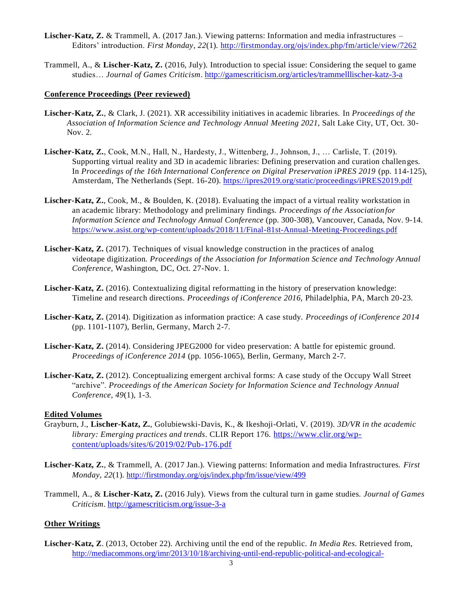- **Lischer-Katz, Z.** & Trammell, A. (2017 Jan.). Viewing patterns: Information and media infrastructures Editors' introduction. *First Monday, 22*(1).<http://firstmonday.org/ojs/index.php/fm/article/view/7262>
- Trammell, A., & **Lischer-Katz, Z.** (2016, July). Introduction to special issue: Considering the sequel to game studies… *Journal of Games Criticism*. <http://gamescriticism.org/articles/trammelllischer-katz-3-a>

#### **Conference Proceedings (Peer reviewed)**

- **Lischer-Katz, Z.**, & Clark, J. (2021). XR accessibility initiatives in academic libraries. In *Proceedings of the Association of Information Science and Technology Annual Meeting 2021*, Salt Lake City, UT, Oct. 30- Nov. 2.
- **Lischer-Katz, Z.**, Cook, M.N., Hall, N., Hardesty, J., Wittenberg, J., Johnson, J., … Carlisle, T. (2019). Supporting virtual reality and 3D in academic libraries: Defining preservation and curation challenges. In *Proceedings of the 16th International Conference on Digital Preservation iPRES 2019* (pp. 114-125), Amsterdam, The Netherlands (Sept. 16-20). https://ipres2019.org/static/proceedings/iPRES2019.pdf
- **Lischer-Katz, Z.**, Cook, M., & Boulden, K. (2018). Evaluating the impact of a virtual reality workstation in an academic library: Methodology and preliminary findings. *Proceedings of the Associationfor Information Science and Technology Annual Conference* (pp. 300-308), Vancouver, Canada, Nov. 9-14. https:/[/www.asist.org/wp-content/uploads/2018/11/Final-81st-Annual-Meeting-Proceedings.pdf](http://www.asist.org/wp-content/uploads/2018/11/Final-81st-Annual-Meeting-Proceedings.pdf)
- Lischer-Katz, Z. (2017). Techniques of visual knowledge construction in the practices of analog videotape digitization. *Proceedings of the Association for Information Science and Technology Annual Conference*, Washington, DC, Oct. 27-Nov. 1.
- Lischer-Katz, Z. (2016). Contextualizing digital reformatting in the history of preservation knowledge: Timeline and research directions. *Proceedings of iConference 2016,* Philadelphia, PA, March 20-23.
- **Lischer-Katz, Z.** (2014). Digitization as information practice: A case study. *Proceedings of iConference 2014* (pp. 1101-1107)*,* Berlin, Germany, March 2-7.
- Lischer-Katz, Z. (2014). Considering JPEG2000 for video preservation: A battle for epistemic ground. *Proceedings of iConference 2014* (pp. 1056-1065), Berlin, Germany, March 2-7.
- Lischer-Katz, Z. (2012). Conceptualizing emergent archival forms: A case study of the Occupy Wall Street "archive". *Proceedings of the American Society for Information Science and Technology Annual Conference*, *49*(1), 1-3.

### **Edited Volumes**

- Grayburn, J., **Lischer-Katz, Z.**, Golubiewski-Davis, K., & Ikeshoji-Orlati, V. (2019). *3D/VR in the academic library: Emerging practices and trends*. CLIR Report 176. [https://www.clir.org/wp](https://www.clir.org/wp-content/uploads/sites/6/2019/02/Pub-176.pdf)[content/uploads/sites/6/2019/02/Pub-176.pdf](https://www.clir.org/wp-content/uploads/sites/6/2019/02/Pub-176.pdf)
- **Lischer-Katz, Z.**, & Trammell, A. (2017 Jan.). Viewing patterns: Information and media Infrastructures. *First Monday, 22*(1).<http://firstmonday.org/ojs/index.php/fm/issue/view/499>
- Trammell, A., & **Lischer-Katz, Z.** (2016 July). Views from the cultural turn in game studies. *Journal of Games Criticism*. <http://gamescriticism.org/issue-3-a>

#### **Other Writings**

**Lischer-Katz, Z**. (2013, October 22). Archiving until the end of the republic. *In Media Res*. Retrieved from, [http://mediacommons.org/imr/2013/10/18/archiving-until-end-republic-political-and-ecological-](http://mediacommons.org/imr/2013/10/18/archiving-until-end-republic-political-and-ecological-dimensions-moving-image-preservatio)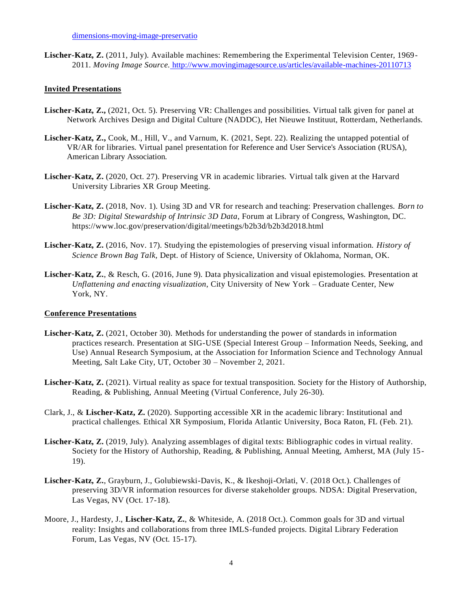**Lischer-Katz, Z.** (2011, July). Available machines: Remembering the Experimental Television Center, 1969- 2011. *Moving Image Source.* <http://www.movingimagesource.us/articles/available-machines-20110713>

#### **Invited Presentations**

- **Lischer-Katz, Z.,** (2021, Oct. 5). Preserving VR: Challenges and possibilities. Virtual talk given for panel at Network Archives Design and Digital Culture (NADDC), Het Nieuwe Instituut, Rotterdam, Netherlands.
- **Lischer-Katz, Z.,** Cook, M., Hill, V., and Varnum, K. (2021, Sept. 22). Realizing the untapped potential of VR/AR for libraries. Virtual panel presentation for Reference and User Service's Association (RUSA), American Library Association.
- **Lischer-Katz, Z.** (2020, Oct. 27). Preserving VR in academic libraries. Virtual talk given at the Harvard University Libraries XR Group Meeting.
- **Lischer-Katz, Z.** (2018, Nov. 1). Using 3D and VR for research and teaching: Preservation challenges. *Born to Be 3D: Digital Stewardship of Intrinsic 3D Data*, Forum at Library of Congress, Washington, DC. https:/[/www.loc.gov/preservation/digital/meetings/b2b3d/b2b3d2018.html](http://www.loc.gov/preservation/digital/meetings/b2b3d/b2b3d2018.html)
- **Lischer-Katz, Z.** (2016, Nov. 17). Studying the epistemologies of preserving visual information. *History of Science Brown Bag Talk,* Dept. of History of Science, University of Oklahoma, Norman, OK.
- **Lischer-Katz, Z.**, & Resch, G. (2016, June 9). Data physicalization and visual epistemologies. Presentation at *Unflattening and enacting visualization*, City University of New York – Graduate Center, New York, NY.

#### **Conference Presentations**

- **Lischer-Katz, Z.** (2021, October 30). Methods for understanding the power of standards in information practices research. Presentation at SIG-USE (Special Interest Group – Information Needs, Seeking, and Use) Annual Research Symposium, at the Association for Information Science and Technology Annual Meeting, Salt Lake City, UT, October 30 – November 2, 2021.
- **Lischer-Katz, Z.** (2021). Virtual reality as space for textual transposition. Society for the History of Authorship, Reading, & Publishing, Annual Meeting (Virtual Conference, July 26-30).
- Clark, J., & **Lischer-Katz, Z.** (2020). Supporting accessible XR in the academic library: Institutional and practical challenges. Ethical XR Symposium, Florida Atlantic University, Boca Raton, FL (Feb. 21).
- **Lischer-Katz, Z.** (2019, July). Analyzing assemblages of digital texts: Bibliographic codes in virtual reality. Society for the History of Authorship, Reading, & Publishing, Annual Meeting, Amherst, MA (July 15- 19).
- **Lischer-Katz, Z.**, Grayburn, J., Golubiewski-Davis, K., & Ikeshoji-Orlati, V. (2018 Oct.). Challenges of preserving 3D/VR information resources for diverse stakeholder groups. NDSA: Digital Preservation, Las Vegas, NV (Oct. 17-18).
- Moore, J., Hardesty, J., **Lischer-Katz, Z.**, & Whiteside, A. (2018 Oct.). Common goals for 3D and virtual reality: Insights and collaborations from three IMLS-funded projects. Digital Library Federation Forum, Las Vegas, NV (Oct. 15-17).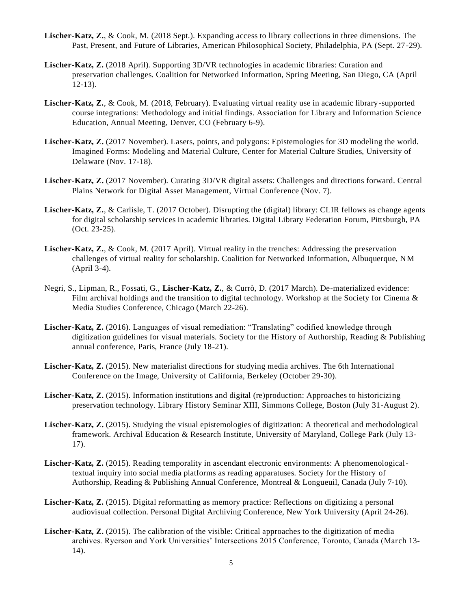- **Lischer-Katz, Z.**, & Cook, M. (2018 Sept.). Expanding access to library collections in three dimensions. The Past, Present, and Future of Libraries, American Philosophical Society, Philadelphia, PA (Sept. 27-29).
- **Lischer-Katz, Z.** (2018 April). Supporting 3D/VR technologies in academic libraries: Curation and preservation challenges. Coalition for Networked Information, Spring Meeting, San Diego, CA (April 12-13).
- **Lischer-Katz, Z.**, & Cook, M. (2018, February). Evaluating virtual reality use in academic library-supported course integrations: Methodology and initial findings. Association for Library and Information Science Education, Annual Meeting, Denver, CO (February 6-9).
- **Lischer-Katz, Z.** (2017 November). Lasers, points, and polygons: Epistemologies for 3D modeling the world. Imagined Forms: Modeling and Material Culture, Center for Material Culture Studies, University of Delaware (Nov. 17-18).
- **Lischer-Katz, Z.** (2017 November). Curating 3D/VR digital assets: Challenges and directions forward. Central Plains Network for Digital Asset Management, Virtual Conference (Nov. 7).
- **Lischer-Katz, Z.**, & Carlisle, T. (2017 October). Disrupting the (digital) library: CLIR fellows as change agents for digital scholarship services in academic libraries. Digital Library Federation Forum, Pittsburgh, PA (Oct. 23-25).
- **Lischer-Katz, Z.**, & Cook, M. (2017 April). Virtual reality in the trenches: Addressing the preservation challenges of virtual reality for scholarship. Coalition for Networked Information, Albuquerque, NM (April 3-4).
- Negri, S., Lipman, R., Fossati, G., **Lischer-Katz, Z.**, & Currò, D. (2017 March). De-materialized evidence: Film archival holdings and the transition to digital technology. Workshop at the Society for Cinema  $\&$ Media Studies Conference, Chicago (March 22-26).
- Lischer-Katz, Z. (2016). Languages of visual remediation: "Translating" codified knowledge through digitization guidelines for visual materials. Society for the History of Authorship, Reading & Publishing annual conference, Paris, France (July 18-21).
- **Lischer-Katz, Z.** (2015). New materialist directions for studying media archives. The 6th International Conference on the Image, University of California, Berkeley (October 29-30).
- Lischer-Katz, Z. (2015). Information institutions and digital (re)production: Approaches to historicizing preservation technology. Library History Seminar XIII, Simmons College, Boston (July 31-August 2).
- **Lischer-Katz, Z.** (2015). Studying the visual epistemologies of digitization: A theoretical and methodological framework. Archival Education & Research Institute, University of Maryland, College Park (July 13- 17).
- Lischer-Katz, Z. (2015). Reading temporality in ascendant electronic environments: A phenomenologicaltextual inquiry into social media platforms as reading apparatuses. Society for the History of Authorship, Reading & Publishing Annual Conference, Montreal & Longueuil, Canada (July 7-10).
- **Lischer-Katz, Z.** (2015). Digital reformatting as memory practice: Reflections on digitizing a personal audiovisual collection. Personal Digital Archiving Conference, New York University (April 24-26).
- **Lischer-Katz, Z.** (2015). The calibration of the visible: Critical approaches to the digitization of media archives. Ryerson and York Universities' Intersections 2015 Conference, Toronto, Canada (March 13- 14).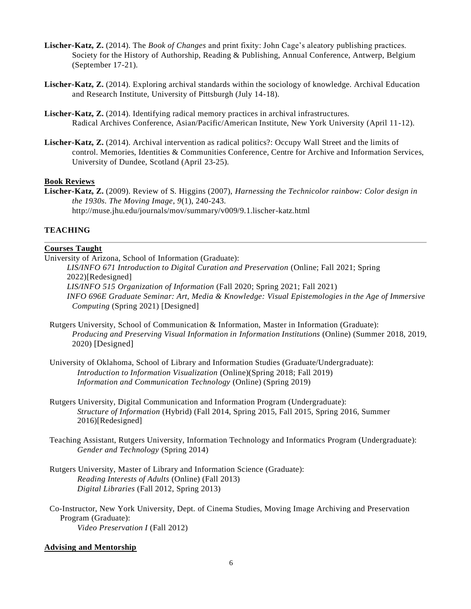- **Lischer-Katz, Z.** (2014). The *Book of Changes* and print fixity: John Cage's aleatory publishing practices. Society for the History of Authorship, Reading & Publishing, Annual Conference, Antwerp, Belgium (September 17-21).
- **Lischer-Katz, Z.** (2014). Exploring archival standards within the sociology of knowledge. Archival Education and Research Institute, University of Pittsburgh (July 14-18).
- **Lischer-Katz, Z.** (2014). Identifying radical memory practices in archival infrastructures. Radical Archives Conference, Asian/Pacific/American Institute, New York University (April 11-12).
- **Lischer-Katz, Z.** (2014). Archival intervention as radical politics?: Occupy Wall Street and the limits of control. Memories, Identities & Communities Conference, Centre for Archive and Information Services, University of Dundee, Scotland (April 23-25).

#### **Book Reviews**

**Lischer-Katz, Z.** (2009). Review of S. Higgins (2007), *Harnessing the Technicolor rainbow: Color design in the 1930s*. *The Moving Image*, *9*(1), 240-243. <http://muse.jhu.edu/journals/mov/summary/v009/9.1.lischer-katz.html>

### **TEACHING**

# **Courses Taught**

University of Arizona, School of Information (Graduate):

*LIS/INFO 671 Introduction to Digital Curation and Preservation* (Online; Fall 2021; Spring 2022)[Redesigned] *LIS/INFO 515 Organization of Information* (Fall 2020; Spring 2021; Fall 2021) *INFO 696E Graduate Seminar: Art, Media & Knowledge: Visual Epistemologies in the Age of Immersive Computing* (Spring 2021) [Designed]

- Rutgers University, School of Communication & Information, Master in Information (Graduate): *Producing and Preserving Visual Information in Information Institutions* (Online) (Summer 2018, 2019, 2020) [Designed]
- University of Oklahoma, School of Library and Information Studies (Graduate/Undergraduate): *Introduction to Information Visualization* (Online)(Spring 2018; Fall 2019) *Information and Communication Technology* (Online) (Spring 2019)
- Rutgers University, Digital Communication and Information Program (Undergraduate): *Structure of Information* (Hybrid) (Fall 2014, Spring 2015, Fall 2015, Spring 2016, Summer 2016)[Redesigned]
- Teaching Assistant, Rutgers University, Information Technology and Informatics Program (Undergraduate): *Gender and Technology* (Spring 2014)
- Rutgers University, Master of Library and Information Science (Graduate): *Reading Interests of Adults* (Online) (Fall 2013) *Digital Libraries* (Fall 2012, Spring 2013)
- Co-Instructor, New York University, Dept. of Cinema Studies, Moving Image Archiving and Preservation Program (Graduate): *Video Preservation I* (Fall 2012)

#### **Advising and Mentorship**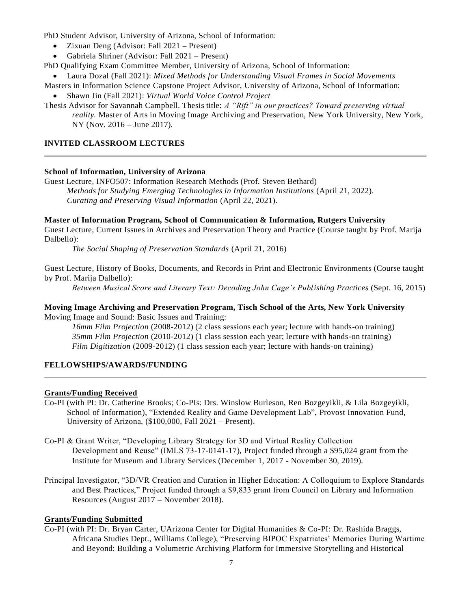PhD Student Advisor, University of Arizona, School of Information:

- Zixuan Deng (Advisor: Fall 2021 Present)
- Gabriela Shriner (Advisor: Fall 2021 Present)

PhD Qualifying Exam Committee Member, University of Arizona, School of Information:

• Laura Dozal (Fall 2021): *Mixed Methods for Understanding Visual Frames in Social Movements*

Masters in Information Science Capstone Project Advisor, University of Arizona, School of Information:

• Shawn Jin (Fall 2021): *Virtual World Voice Control Project*

Thesis Advisor for Savannah Campbell. Thesis title: *A "Rift" in our practices? Toward preserving virtual reality.* Master of Arts in Moving Image Archiving and Preservation, New York University, New York, NY (Nov. 2016 – June 2017).

### **INVITED CLASSROOM LECTURES**

### **School of Information, University of Arizona**

Guest Lecture, INFO507: Information Research Methods (Prof. Steven Bethard) *Methods for Studying Emerging Technologies in Information Institutions* (April 21, 2022). *Curating and Preserving Visual Information* (April 22, 2021).

### **Master of Information Program, School of Communication & Information, Rutgers University**

Guest Lecture, Current Issues in Archives and Preservation Theory and Practice (Course taught by Prof. Marija Dalbello):

*The Social Shaping of Preservation Standards* (April 21, 2016)

Guest Lecture, History of Books, Documents, and Records in Print and Electronic Environments (Course taught by Prof. Marija Dalbello):

*Between Musical Score and Literary Text: Decoding John Cage's Publishing Practices* (Sept. 16, 2015)

### **Moving Image Archiving and Preservation Program, Tisch School of the Arts, New York University** Moving Image and Sound: Basic Issues and Training:

*16mm Film Projection* (2008-2012) (2 class sessions each year; lecture with hands-on training) *35mm Film Projection* (2010-2012) (1 class session each year; lecture with hands-on training) *Film Digitization* (2009-2012) (1 class session each year; lecture with hands-on training)

# **FELLOWSHIPS/AWARDS/FUNDING**

# **Grants/Funding Received**

- Co-PI (with PI: Dr. Catherine Brooks; Co-PIs: Drs. Winslow Burleson, Ren Bozgeyikli, & Lila Bozgeyikli, School of Information), "Extended Reality and Game Development Lab", Provost Innovation Fund, University of Arizona, (\$100,000, Fall 2021 – Present).
- Co-PI & Grant Writer, "Developing Library Strategy for 3D and Virtual Reality Collection Development and Reuse" (IMLS 73-17-0141-17), Project funded through a \$95,024 grant from the Institute for Museum and Library Services (December 1, 2017 - November 30, 2019).
- Principal Investigator, "3D/VR Creation and Curation in Higher Education: A Colloquium to Explore Standards and Best Practices," Project funded through a \$9,833 grant from Council on Library and Information Resources (August 2017 – November 2018).

#### **Grants/Funding Submitted**

Co-PI (with PI: Dr. Bryan Carter, UArizona Center for Digital Humanities & Co-PI: Dr. Rashida Braggs, Africana Studies Dept., Williams College), "Preserving BIPOC Expatriates' Memories During Wartime and Beyond: Building a Volumetric Archiving Platform for Immersive Storytelling and Historical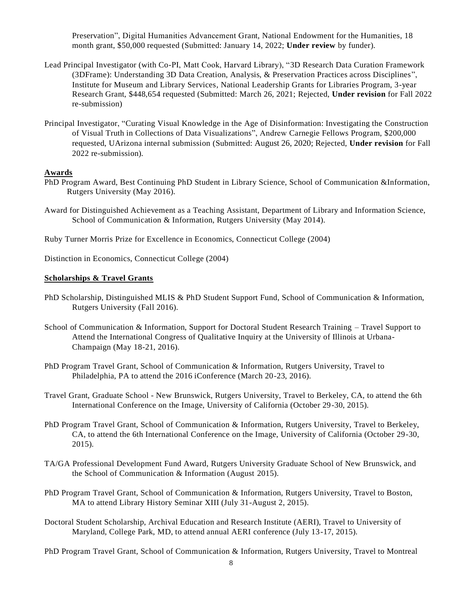Preservation", Digital Humanities Advancement Grant, National Endowment for the Humanities, 18 month grant, \$50,000 requested (Submitted: January 14, 2022; **Under review** by funder).

- Lead Principal Investigator (with Co-PI, Matt Cook, Harvard Library), "3D Research Data Curation Framework (3DFrame): Understanding 3D Data Creation, Analysis, & Preservation Practices across Disciplines", Institute for Museum and Library Services, National Leadership Grants for Libraries Program, 3-year Research Grant, \$448,654 requested (Submitted: March 26, 2021; Rejected, **Under revision** for Fall 2022 re-submission)
- Principal Investigator, "Curating Visual Knowledge in the Age of Disinformation: Investigating the Construction of Visual Truth in Collections of Data Visualizations", Andrew Carnegie Fellows Program, \$200,000 requested, UArizona internal submission (Submitted: August 26, 2020; Rejected, **Under revision** for Fall 2022 re-submission).

### **Awards**

- PhD Program Award, Best Continuing PhD Student in Library Science, School of Communication &Information, Rutgers University (May 2016).
- Award for Distinguished Achievement as a Teaching Assistant, Department of Library and Information Science, School of Communication & Information, Rutgers University (May 2014).
- Ruby Turner Morris Prize for Excellence in Economics, Connecticut College (2004)

Distinction in Economics, Connecticut College (2004)

#### **Scholarships & Travel Grants**

- PhD Scholarship, Distinguished MLIS & PhD Student Support Fund, School of Communication & Information, Rutgers University (Fall 2016).
- School of Communication & Information, Support for Doctoral Student Research Training Travel Support to Attend the International Congress of Qualitative Inquiry at the University of Illinois at Urbana-Champaign (May 18-21, 2016).
- PhD Program Travel Grant, School of Communication & Information, Rutgers University, Travel to Philadelphia, PA to attend the 2016 iConference (March 20-23, 2016).
- Travel Grant, Graduate School New Brunswick, Rutgers University, Travel to Berkeley, CA, to attend the 6th International Conference on the Image, University of California (October 29-30, 2015).
- PhD Program Travel Grant, School of Communication & Information, Rutgers University, Travel to Berkeley, CA, to attend the 6th International Conference on the Image, University of California (October 29-30, 2015).
- TA/GA Professional Development Fund Award, Rutgers University Graduate School of New Brunswick, and the School of Communication & Information (August 2015).
- PhD Program Travel Grant, School of Communication & Information, Rutgers University, Travel to Boston, MA to attend Library History Seminar XIII (July 31-August 2, 2015).
- Doctoral Student Scholarship, Archival Education and Research Institute (AERI), Travel to University of Maryland, College Park, MD, to attend annual AERI conference (July 13-17, 2015).

PhD Program Travel Grant, School of Communication & Information, Rutgers University, Travel to Montreal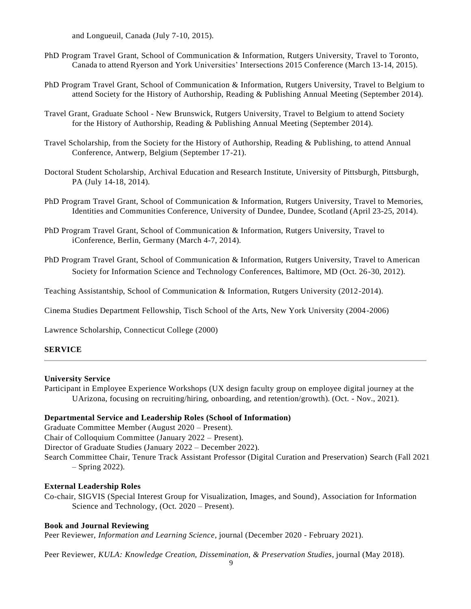and Longueuil, Canada (July 7-10, 2015).

- PhD Program Travel Grant, School of Communication & Information, Rutgers University, Travel to Toronto, Canada to attend Ryerson and York Universities' Intersections 2015 Conference (March 13-14, 2015).
- PhD Program Travel Grant, School of Communication & Information, Rutgers University, Travel to Belgium to attend Society for the History of Authorship, Reading & Publishing Annual Meeting (September 2014).
- Travel Grant, Graduate School New Brunswick, Rutgers University, Travel to Belgium to attend Society for the History of Authorship, Reading & Publishing Annual Meeting (September 2014).
- Travel Scholarship, from the Society for the History of Authorship, Reading & Publishing, to attend Annual Conference, Antwerp, Belgium (September 17-21).
- Doctoral Student Scholarship, Archival Education and Research Institute, University of Pittsburgh, Pittsburgh, PA (July 14-18, 2014).
- PhD Program Travel Grant, School of Communication & Information, Rutgers University, Travel to Memories, Identities and Communities Conference, University of Dundee, Dundee, Scotland (April 23-25, 2014).
- PhD Program Travel Grant, School of Communication & Information, Rutgers University, Travel to iConference, Berlin, Germany (March 4-7, 2014).
- PhD Program Travel Grant, School of Communication & Information, Rutgers University, Travel to American Society for Information Science and Technology Conferences, Baltimore, MD (Oct. 26-30, 2012).

Teaching Assistantship, School of Communication & Information, Rutgers University (2012-2014).

Cinema Studies Department Fellowship, Tisch School of the Arts, New York University (2004-2006)

Lawrence Scholarship, Connecticut College (2000)

#### **SERVICE**

#### **University Service**

Participant in Employee Experience Workshops (UX design faculty group on employee digital journey at the UArizona, focusing on recruiting/hiring, onboarding, and retention/growth). (Oct. - Nov., 2021).

#### **Departmental Service and Leadership Roles (School of Information)**

Graduate Committee Member (August 2020 – Present). Chair of Colloquium Committee (January 2022 – Present). Director of Graduate Studies (January 2022 – December 2022). Search Committee Chair, Tenure Track Assistant Professor (Digital Curation and Preservation) Search (Fall 2021 – Spring 2022).

#### **External Leadership Roles**

Co-chair, SIGVIS (Special Interest Group for Visualization, Images, and Sound), Association for Information Science and Technology, (Oct. 2020 – Present).

#### **Book and Journal Reviewing**

Peer Reviewer, *Information and Learning Science*, journal (December 2020 - February 2021).

Peer Reviewer, *KULA: Knowledge Creation, Dissemination, & Preservation Studies*, journal (May 2018).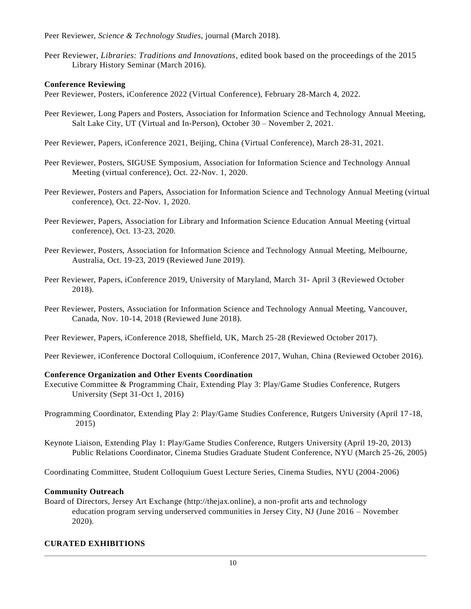Peer Reviewer, *Science & Technology Studies*, journal (March 2018).

Peer Reviewer, *Libraries: Traditions and Innovations*, edited book based on the proceedings of the 2015 Library History Seminar (March 2016).

# **Conference Reviewing**

Peer Reviewer, Posters, iConference 2022 (Virtual Conference), February 28-March 4, 2022.

- Peer Reviewer, Long Papers and Posters, Association for Information Science and Technology Annual Meeting, Salt Lake City, UT (Virtual and In-Person), October 30 – November 2, 2021.
- Peer Reviewer, Papers, iConference 2021, Beijing, China (Virtual Conference), March 28-31, 2021.
- Peer Reviewer, Posters, SIGUSE Symposium, Association for Information Science and Technology Annual Meeting (virtual conference), Oct. 22-Nov. 1, 2020.
- Peer Reviewer, Posters and Papers, Association for Information Science and Technology Annual Meeting (virtual conference), Oct. 22-Nov. 1, 2020.
- Peer Reviewer, Papers, Association for Library and Information Science Education Annual Meeting (virtual conference), Oct. 13-23, 2020.
- Peer Reviewer, Posters, Association for Information Science and Technology Annual Meeting, Melbourne, Australia, Oct. 19-23, 2019 (Reviewed June 2019).
- Peer Reviewer, Papers, iConference 2019, University of Maryland, March 31- April 3 (Reviewed October 2018).
- Peer Reviewer, Posters, Association for Information Science and Technology Annual Meeting, Vancouver, Canada, Nov. 10-14, 2018 (Reviewed June 2018).
- Peer Reviewer, Papers, iConference 2018, Sheffield, UK, March 25-28 (Reviewed October 2017).
- Peer Reviewer, iConference Doctoral Colloquium, iConference 2017, Wuhan, China (Reviewed October 2016).

# **Conference Organization and Other Events Coordination**

- Executive Committee & Programming Chair, Extending Play 3: Play/Game Studies Conference, Rutgers University (Sept 31-Oct 1, 2016)
- Programming Coordinator, Extending Play 2: Play/Game Studies Conference, Rutgers University (April 17-18, 2015)
- Keynote Liaison, Extending Play 1: Play/Game Studies Conference, Rutgers University (April 19-20, 2013) Public Relations Coordinator, Cinema Studies Graduate Student Conference, NYU (March 25-26, 2005)

Coordinating Committee, Student Colloquium Guest Lecture Series, Cinema Studies, NYU (2004-2006)

# **Community Outreach**

Board of Directors, Jersey Art Exchange (http://thejax.online), a non-profit arts and technology education program serving underserved communities in Jersey City, NJ (June 2016 – November 2020).

# **CURATED EXHIBITIONS**